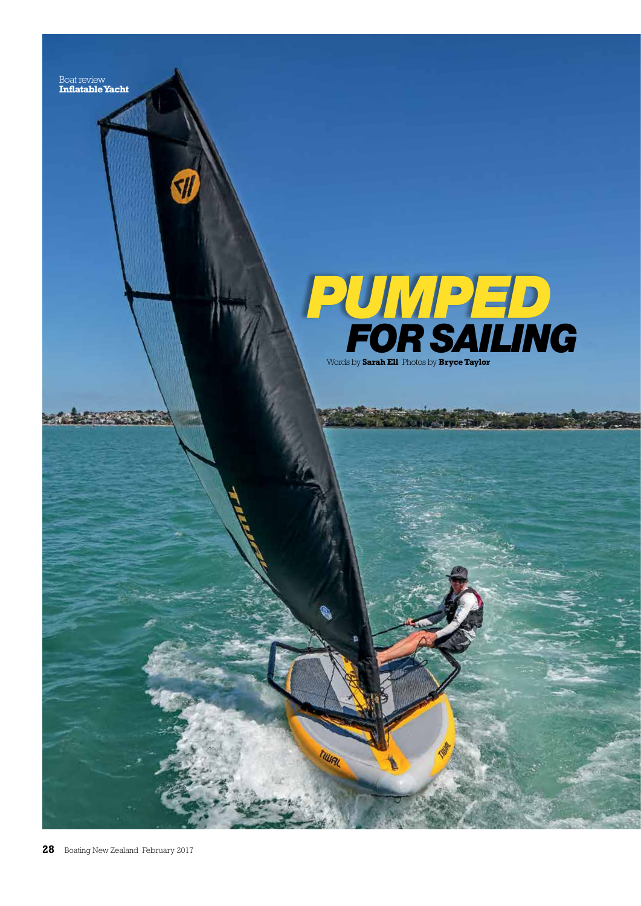

**SII** 



TIWR

**START OF STRATE**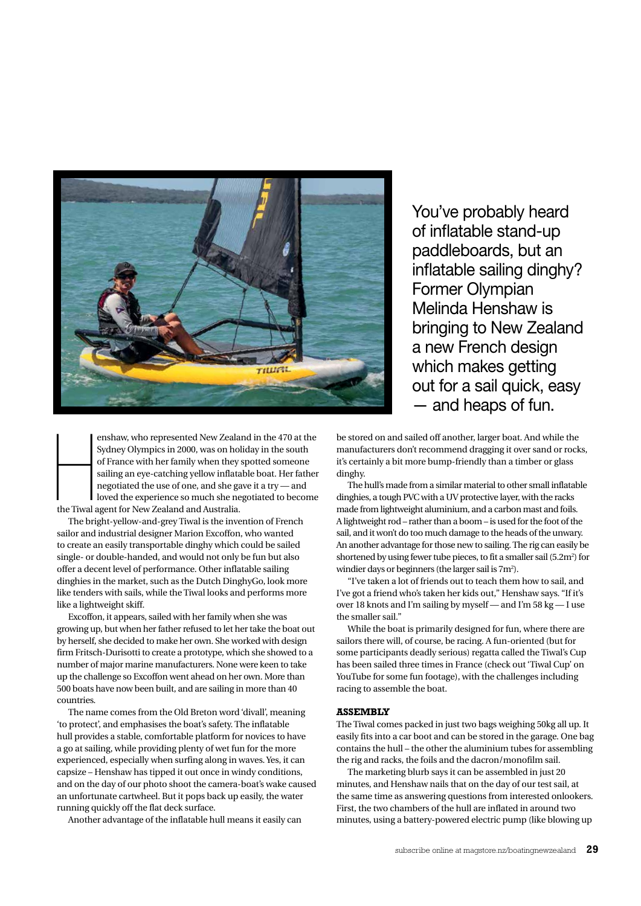

H enshaw, who represented New Zealand in the 470 at the Sydney Olympics in 2000, was on holiday in the south of France with her family when they spotted someone sailing an eye-catching yellow inflatable boat. Her father negotiated the use of one, and she gave it a try — and loved the experience so much she negotiated to become the Tiwal agent for New Zealand and Australia.

The bright-yellow-and-grey Tiwal is the invention of French sailor and industrial designer Marion Excoffon, who wanted to create an easily transportable dinghy which could be sailed single- or double-handed, and would not only be fun but also offer a decent level of performance. Other inflatable sailing dinghies in the market, such as the Dutch DinghyGo, look more like tenders with sails, while the Tiwal looks and performs more like a lightweight skiff.

Excoffon, it appears, sailed with her family when she was growing up, but when her father refused to let her take the boat out by herself, she decided to make her own. She worked with design firm Fritsch-Durisotti to create a prototype, which she showed to a number of major marine manufacturers. None were keen to take up the challenge so Excoffon went ahead on her own. More than 500 boats have now been built, and are sailing in more than 40 countries.

The name comes from the Old Breton word 'divall', meaning 'to protect', and emphasises the boat's safety. The inflatable hull provides a stable, comfortable platform for novices to have a go at sailing, while providing plenty of wet fun for the more experienced, especially when surfing along in waves. Yes, it can capsize – Henshaw has tipped it out once in windy conditions, and on the day of our photo shoot the camera-boat's wake caused an unfortunate cartwheel. But it pops back up easily, the water running quickly off the flat deck surface.

Another advantage of the inflatable hull means it easily can

You've probably heard of inflatable stand-up paddleboards, but an inflatable sailing dinghy? Former Olympian Melinda Henshaw is bringing to New Zealand a new French design which makes getting out for a sail quick, easy — and heaps of fun.

be stored on and sailed off another, larger boat. And while the manufacturers don't recommend dragging it over sand or rocks, it's certainly a bit more bump-friendly than a timber or glass dinghy.

The hull's made from a similar material to other small inflatable dinghies, a tough PVC with a UV protective layer, with the racks made from lightweight aluminium, and a carbon mast and foils. A lightweight rod – rather than a boom – is used for the foot of the sail, and it won't do too much damage to the heads of the unwary. An another advantage for those new to sailing. The rig can easily be shortened by using fewer tube pieces, to fit a smaller sail (5.2m<sup>2</sup>) for windier days or beginners (the larger sail is  $7m^2$ ).

"I've taken a lot of friends out to teach them how to sail, and I've got a friend who's taken her kids out," Henshaw says. "If it's over 18 knots and I'm sailing by myself — and I'm 58 kg — I use the smaller sail."

While the boat is primarily designed for fun, where there are sailors there will, of course, be racing. A fun-oriented (but for some participants deadly serious) regatta called the Tiwal's Cup has been sailed three times in France (check out 'Tiwal Cup' on YouTube for some fun footage), with the challenges including racing to assemble the boat.

#### **ASSEMBLY**

The Tiwal comes packed in just two bags weighing 50kg all up. It easily fits into a car boot and can be stored in the garage. One bag contains the hull – the other the aluminium tubes for assembling the rig and racks, the foils and the dacron/monofilm sail.

The marketing blurb says it can be assembled in just 20 minutes, and Henshaw nails that on the day of our test sail, at the same time as answering questions from interested onlookers. First, the two chambers of the hull are inflated in around two minutes, using a battery-powered electric pump (like blowing up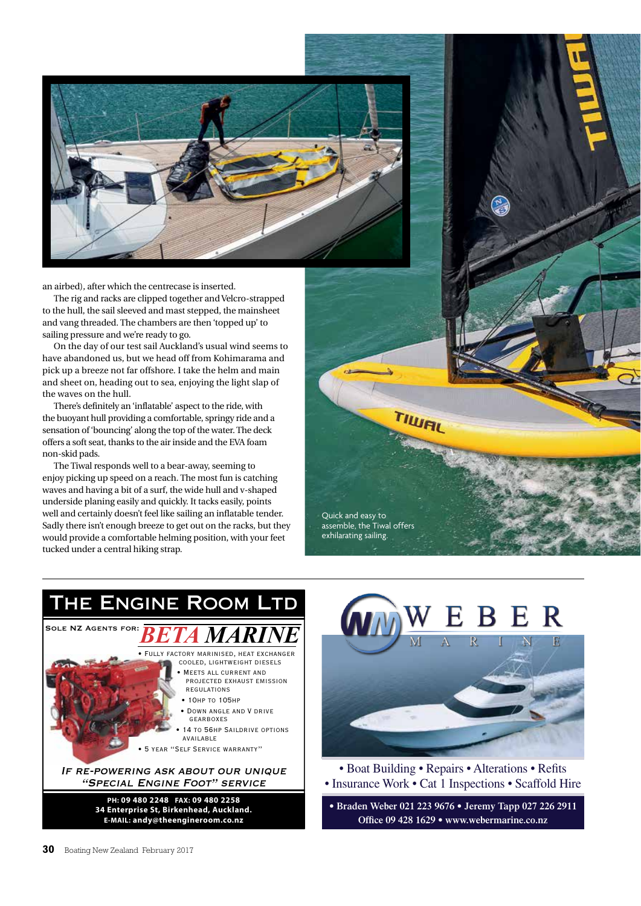

an airbed), after which the centrecase is inserted.

The rig and racks are clipped together and Velcro-strapped to the hull, the sail sleeved and mast stepped, the mainsheet and vang threaded. The chambers are then 'topped up' to sailing pressure and we're ready to go.

On the day of our test sail Auckland's usual wind seems to have abandoned us, but we head off from Kohimarama and pick up a breeze not far offshore. I take the helm and main and sheet on, heading out to sea, enjoying the light slap of the waves on the hull.

There's definitely an 'inflatable' aspect to the ride, with the buoyant hull providing a comfortable, springy ride and a sensation of 'bouncing' along the top of the water. The deck offers a soft seat, thanks to the air inside and the EVA foam non-skid pads.

The Tiwal responds well to a bear-away, seeming to enjoy picking up speed on a reach. The most fun is catching waves and having a bit of a surf, the wide hull and v-shaped underside planing easily and quickly. It tacks easily, points well and certainly doesn't feel like sailing an inflatable tender. Sadly there isn't enough breeze to get out on the racks, but they would provide a comfortable helming position, with your feet tucked under a central hiking strap.







Quick and easy to assemble, the Tiwal offers exhilarating sailing.

TIWRI

• Boat Building • Repairs • Alterations • Refits • Insurance Work • Cat 1 Inspections • Scaffold Hire

**• Braden Weber 021 223 9676 • Jeremy Tapp 027 226 2911 Office 09 428 1629 • www.webermarine.co.nz**